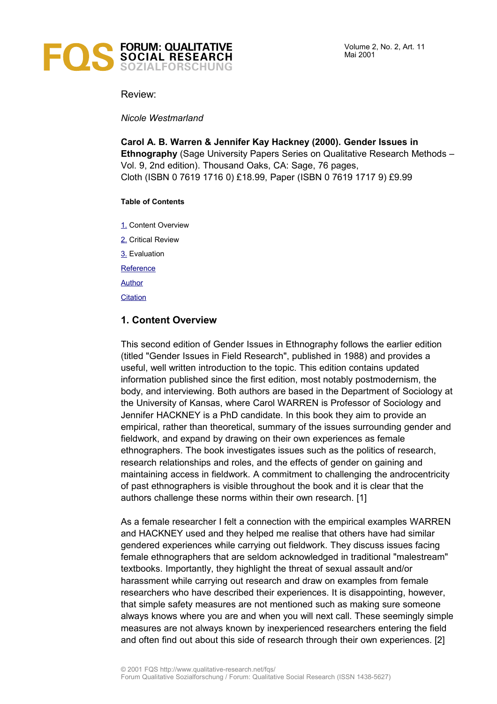

Volume 2, No. 2, Art. 11 Mai 2001

Review:

*Nicole Westmarland*

**Carol A. B. Warren & Jennifer Kay Hackney (2000). Gender Issues in Ethnography** (Sage University Papers Series on Qualitative Research Methods – Vol. 9, 2nd edition). Thousand Oaks, CA: Sage, 76 pages, Cloth (ISBN 0 7619 1716 0) £18.99, Paper (ISBN 0 7619 1717 9) £9.99

## **Table of Contents**

[1.](#page-0-0) Content Overview

[2.](#page-1-0) Critical Review

[3.](#page-2-3) Evaluation

**[Reference](#page-2-2)** 

[Author](#page-2-1)

**[Citation](#page-2-0)** 

# <span id="page-0-0"></span>**1. Content Overview**

This second edition of Gender Issues in Ethnography follows the earlier edition (titled "Gender Issues in Field Research", published in 1988) and provides a useful, well written introduction to the topic. This edition contains updated information published since the first edition, most notably postmodernism, the body, and interviewing. Both authors are based in the Department of Sociology at the University of Kansas, where Carol WARREN is Professor of Sociology and Jennifer HACKNEY is a PhD candidate. In this book they aim to provide an empirical, rather than theoretical, summary of the issues surrounding gender and fieldwork, and expand by drawing on their own experiences as female ethnographers. The book investigates issues such as the politics of research, research relationships and roles, and the effects of gender on gaining and maintaining access in fieldwork. A commitment to challenging the androcentricity of past ethnographers is visible throughout the book and it is clear that the authors challenge these norms within their own research. [1]

As a female researcher I felt a connection with the empirical examples WARREN and HACKNEY used and they helped me realise that others have had similar gendered experiences while carrying out fieldwork. They discuss issues facing female ethnographers that are seldom acknowledged in traditional "malestream" textbooks. Importantly, they highlight the threat of sexual assault and/or harassment while carrying out research and draw on examples from female researchers who have described their experiences. It is disappointing, however, that simple safety measures are not mentioned such as making sure someone always knows where you are and when you will next call. These seemingly simple measures are not always known by inexperienced researchers entering the field and often find out about this side of research through their own experiences. [2]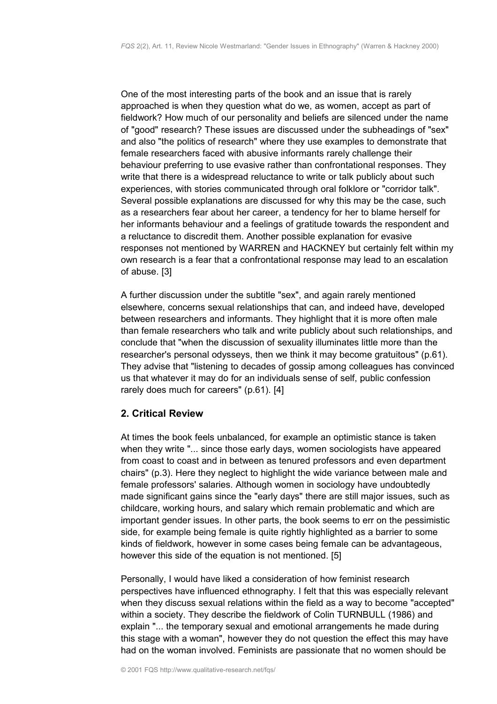One of the most interesting parts of the book and an issue that is rarely approached is when they question what do we, as women, accept as part of fieldwork? How much of our personality and beliefs are silenced under the name of "good" research? These issues are discussed under the subheadings of "sex" and also "the politics of research" where they use examples to demonstrate that female researchers faced with abusive informants rarely challenge their behaviour preferring to use evasive rather than confrontational responses. They write that there is a widespread reluctance to write or talk publicly about such experiences, with stories communicated through oral folklore or "corridor talk". Several possible explanations are discussed for why this may be the case, such as a researchers fear about her career, a tendency for her to blame herself for her informants behaviour and a feelings of gratitude towards the respondent and a reluctance to discredit them. Another possible explanation for evasive responses not mentioned by WARREN and HACKNEY but certainly felt within my own research is a fear that a confrontational response may lead to an escalation of abuse. [3]

A further discussion under the subtitle "sex", and again rarely mentioned elsewhere, concerns sexual relationships that can, and indeed have, developed between researchers and informants. They highlight that it is more often male than female researchers who talk and write publicly about such relationships, and conclude that "when the discussion of sexuality illuminates little more than the researcher's personal odysseys, then we think it may become gratuitous" (p.61). They advise that "listening to decades of gossip among colleagues has convinced us that whatever it may do for an individuals sense of self, public confession rarely does much for careers" (p.61). [4]

## <span id="page-1-0"></span>**2. Critical Review**

At times the book feels unbalanced, for example an optimistic stance is taken when they write "... since those early days, women sociologists have appeared from coast to coast and in between as tenured professors and even department chairs" (p.3). Here they neglect to highlight the wide variance between male and female professors' salaries. Although women in sociology have undoubtedly made significant gains since the "early days" there are still major issues, such as childcare, working hours, and salary which remain problematic and which are important gender issues. In other parts, the book seems to err on the pessimistic side, for example being female is quite rightly highlighted as a barrier to some kinds of fieldwork, however in some cases being female can be advantageous, however this side of the equation is not mentioned. [5]

Personally, I would have liked a consideration of how feminist research perspectives have influenced ethnography. I felt that this was especially relevant when they discuss sexual relations within the field as a way to become "accepted" within a society. They describe the fieldwork of Colin TURNBULL (1986) and explain "... the temporary sexual and emotional arrangements he made during this stage with a woman", however they do not question the effect this may have had on the woman involved. Feminists are passionate that no women should be